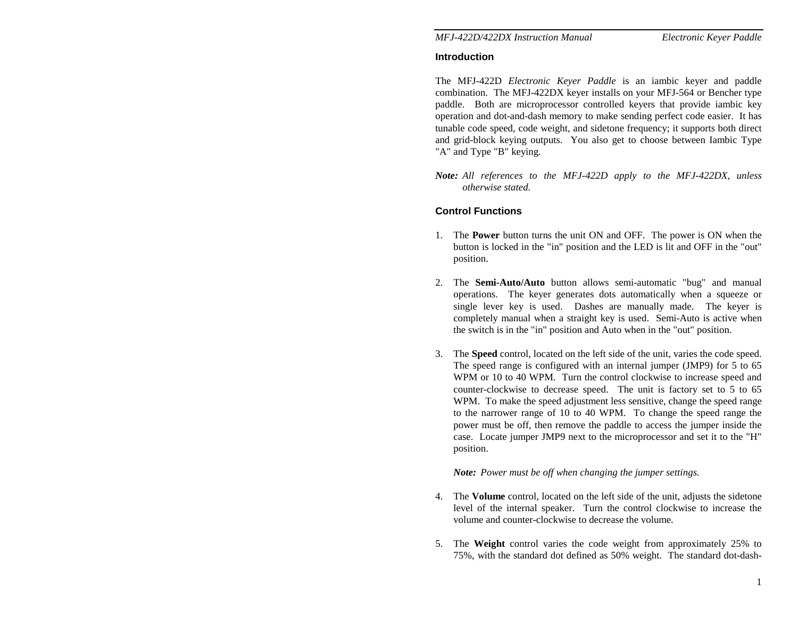## **Introduction**

The MFJ-422D *Electronic Keyer Paddle* is an iambic keyer and paddle combination. The MFJ-422DX keyer installs on your MFJ-564 or Bencher type paddle. Both are microprocessor controlled keyers that provide iambic key operation and dot-and-dash memory to make sending perfect code easier. It has tunable code speed, code weight, and sidetone frequency; it supports both direct and grid-block keying outputs. You also get to choose between Iambic Type "A" and Type "B" keying.

*Note: All references to the MFJ-422D apply to the MFJ-422DX, unless otherwise stated.* 

# **Control Functions**

- 1. The **Power** button turns the unit ON and OFF. The power is ON when the button is locked in the "in" position and the LED is lit and OFF in the "out" position.
- 2. The **Semi-Auto/Auto** button allows semi-automatic "bug" and manual operations. The keyer generates dots automatically when a squeeze or single lever key is used. Dashes are manually made. The keyer is completely manual when a straight key is used. Semi-Auto is active when the switch is in the "in" position and Auto when in the "out" position.
- 3. The **Speed** control, located on the left side of the unit, varies the code speed. The speed range is configured with an internal jumper (JMP9) for 5 to 65 WPM or 10 to 40 WPM. Turn the control clockwise to increase speed and counter-clockwise to decrease speed. The unit is factory set to 5 to 65 WPM. To make the speed adjustment less sensitive, change the speed range to the narrower range of 10 to 40 WPM. To change the speed range the power must be off, then remove the paddle to access the jumper inside the case. Locate jumper JMP9 next to the microprocessor and set it to the "H" position.

## *Note: Power must be off when changing the jumper settings.*

- 4. The **Volume** control, located on the left side of the unit, adjusts the sidetone level of the internal speaker. Turn the control clockwise to increase the volume and counter-clockwise to decrease the volume.
- 5. The **Weight** control varies the code weight from approximately 25% to 75%, with the standard dot defined as 50% weight. The standard dot-dash-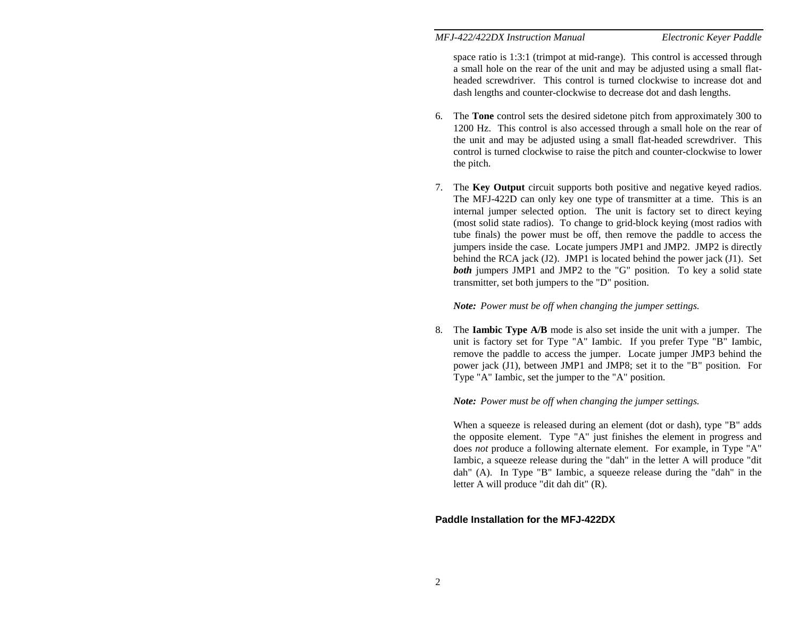space ratio is 1:3:1 (trimpot at mid-range). This control is accessed through a small hole on the rear of the unit and may be adjusted using a small flatheaded screwdriver. This control is turned clockwise to increase dot and dash lengths and counter-clockwise to decrease dot and dash lengths.

- 6. The **Tone** control sets the desired sidetone pitch from approximately 300 to 1200 Hz. This control is also accessed through a small hole on the rear of the unit and may be adjusted using a small flat-headed screwdriver. This control is turned clockwise to raise the pitch and counter-clockwise to lower the pitch.
- 7. The **Key Output** circuit supports both positive and negative keyed radios. The MFJ-422D can only key one type of transmitter at a time. This is an internal jumper selected option. The unit is factory set to direct keying (most solid state radios). To change to grid-block keying (most radios with tube finals) the power must be off, then remove the paddle to access the jumpers inside the case. Locate jumpers JMP1 and JMP2. JMP2 is directly behind the RCA jack (J2). JMP1 is located behind the power jack (J1). Set **both** jumpers JMP1 and JMP2 to the "G" position. To key a solid state transmitter, set both jumpers to the "D" position.

*Note: Power must be off when changing the jumper settings.* 

8. The **Iambic Type A/B** mode is also set inside the unit with a jumper. The unit is factory set for Type "A" Iambic. If you prefer Type "B" Iambic, remove the paddle to access the jumper. Locate jumper JMP3 behind the power jack (J1), between JMP1 and JMP8; set it to the "B" position. For Type "A" Iambic, set the jumper to the "A" position.

*Note: Power must be off when changing the jumper settings.* 

When a squeeze is released during an element (dot or dash), type "B" adds the opposite element. Type "A" just finishes the element in progress and does *not* produce a following alternate element. For example, in Type "A" Iambic, a squeeze release during the "dah" in the letter A will produce "dit dah" (A). In Type "B" Iambic, a squeeze release during the "dah" in the letter A will produce "dit dah dit" (R).

## **Paddle Installation for the MFJ-422DX**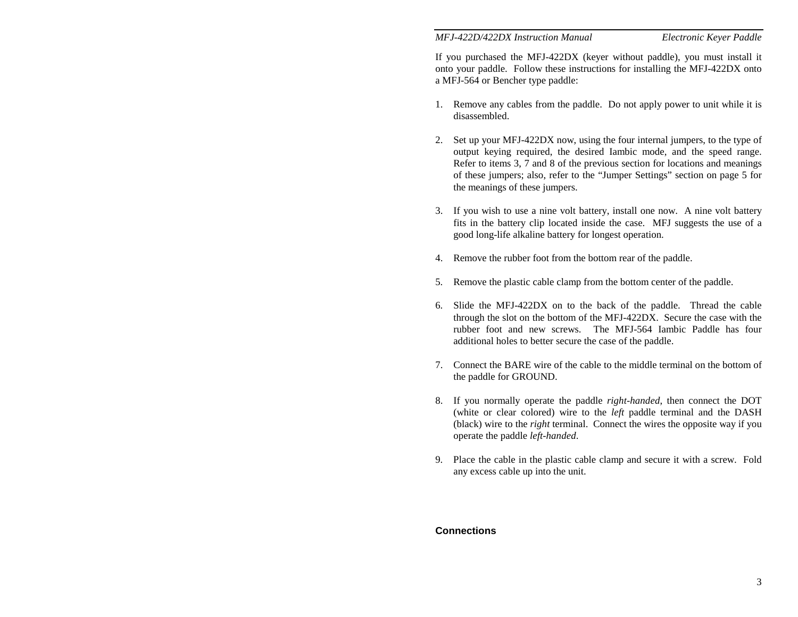If you purchased the MFJ-422DX (keyer without paddle), you must install it onto your paddle. Follow these instructions for installing the MFJ-422DX onto a MFJ-564 or Bencher type paddle:

- 1. Remove any cables from the paddle. Do not apply power to unit while it is disassembled.
- 2. Set up your MFJ-422DX now, using the four internal jumpers, to the type of output keying required, the desired Iambic mode, and the speed range. Refer to items 3, 7 and 8 of the previous section for locations and meanings of these jumpers; also, refer to the "Jumper Settings" section on page 5 for the meanings of these jumpers.
- 3. If you wish to use a nine volt battery, install one now. A nine volt battery fits in the battery clip located inside the case. MFJ suggests the use of a good long-life alkaline battery for longest operation.
- 4. Remove the rubber foot from the bottom rear of the paddle.
- 5. Remove the plastic cable clamp from the bottom center of the paddle.
- 6. Slide the MFJ-422DX on to the back of the paddle. Thread the cable through the slot on the bottom of the MFJ-422DX. Secure the case with the rubber foot and new screws. The MFJ-564 Iambic Paddle has four additional holes to better secure the case of the paddle.
- 7. Connect the BARE wire of the cable to the middle terminal on the bottom of the paddle for GROUND.
- 8. If you normally operate the paddle *right-handed*, then connect the DOT (white or clear colored) wire to the *left* paddle terminal and the DASH (black) wire to the *right* terminal. Connect the wires the opposite way if you operate the paddle *left-handed*.
- 9. Place the cable in the plastic cable clamp and secure it with a screw. Fold any excess cable up into the unit.

## **Connections**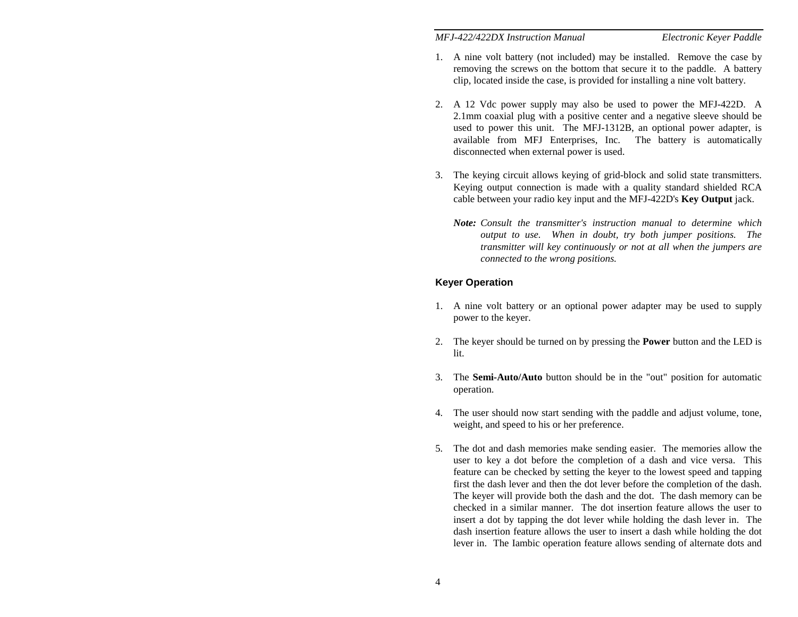- 1. A nine volt battery (not included) may be installed. Remove the case by removing the screws on the bottom that secure it to the paddle. A battery clip, located inside the case, is provided for installing a nine volt battery.
- 2. A 12 Vdc power supply may also be used to power the MFJ-422D. A 2.1mm coaxial plug with a positive center and a negative sleeve should be used to power this unit. The MFJ-1312B, an optional power adapter, is available from MFJ Enterprises, Inc. The battery is automatically disconnected when external power is used.
- 3. The keying circuit allows keying of grid-block and solid state transmitters. Keying output connection is made with a quality standard shielded RCA cable between your radio key input and the MFJ-422D's **Key Output** jack.
	- *Note: Consult the transmitter's instruction manual to determine which output to use. When in doubt, try both jumper positions. The transmitter will key continuously or not at all when the jumpers are connected to the wrong positions.*

# **Keyer Operation**

- 1. A nine volt battery or an optional power adapter may be used to supply power to the keyer.
- 2. The keyer should be turned on by pressing the **Power** button and the LED is lit.
- 3. The **Semi-Auto/Auto** button should be in the "out" position for automatic operation.
- 4. The user should now start sending with the paddle and adjust volume, tone, weight, and speed to his or her preference.
- 5. The dot and dash memories make sending easier. The memories allow the user to key a dot before the completion of a dash and vice versa. This feature can be checked by setting the keyer to the lowest speed and tapping first the dash lever and then the dot lever before the completion of the dash. The keyer will provide both the dash and the dot. The dash memory can be checked in a similar manner. The dot insertion feature allows the user to insert a dot by tapping the dot lever while holding the dash lever in. The dash insertion feature allows the user to insert a dash while holding the dot lever in. The Iambic operation feature allows sending of alternate dots and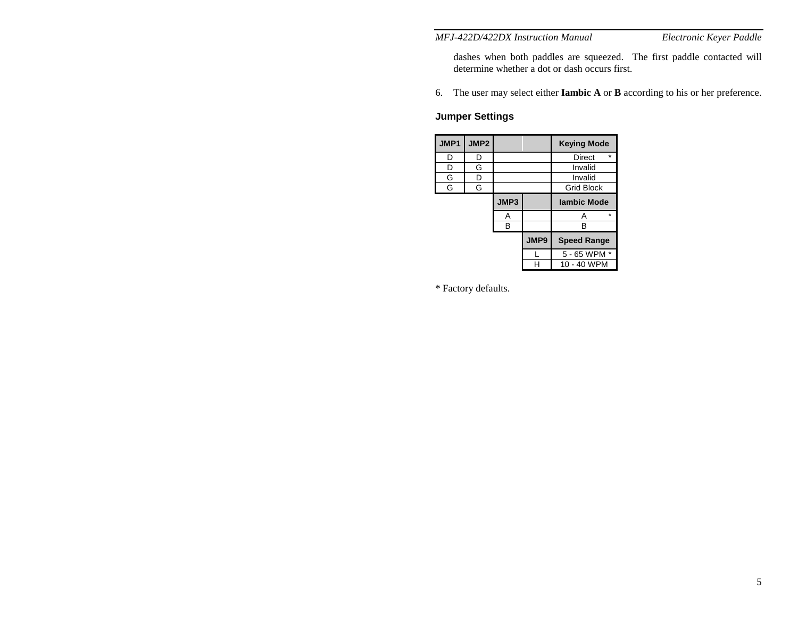dashes when both paddles are squeezed. The first paddle contacted will determine whether a dot or dash occurs first.

6. The user may select either **Iambic A** or **B** according to his or her preference.

# **Jumper Settings**

| JMP1 | JMP2 |              |      | <b>Keying Mode</b> |  |  |  |
|------|------|--------------|------|--------------------|--|--|--|
| D    | D    |              |      | $\star$<br>Direct  |  |  |  |
| D    | G    |              |      | Invalid            |  |  |  |
| G    | D    |              |      | Invalid            |  |  |  |
| G    | G    |              |      | <b>Grid Block</b>  |  |  |  |
|      |      | JMP3         |      | <b>lambic Mode</b> |  |  |  |
|      |      | A            |      | $\star$<br>Α       |  |  |  |
|      |      | в            |      | R                  |  |  |  |
|      |      |              | JMP9 | <b>Speed Range</b> |  |  |  |
|      |      | 5 - 65 WPM * |      |                    |  |  |  |
|      |      |              |      | 10 - 40 WPM        |  |  |  |

\* Factory defaults.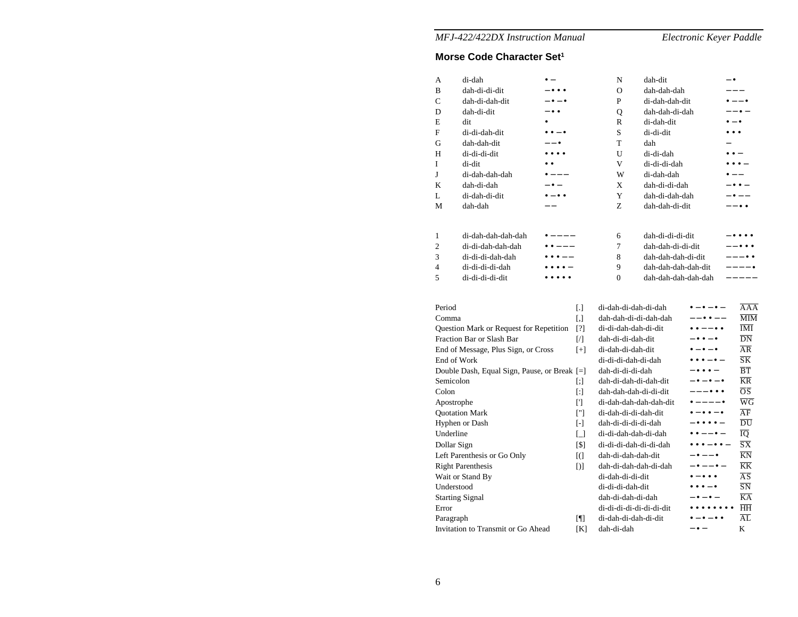# **Morse Code Character Set1**

| А                                            | di-dah                              |                          |                          | N                      | dah-dit                          |                                          | $ \bullet$               |                                          |
|----------------------------------------------|-------------------------------------|--------------------------|--------------------------|------------------------|----------------------------------|------------------------------------------|--------------------------|------------------------------------------|
| B                                            | dah-di-di-dit                       |                          |                          | $\Omega$               | dah-dah-dah                      |                                          |                          |                                          |
| C                                            | dah-di-dah-dit                      | $\bullet - \bullet$      |                          | P                      | di-dah-dah-dit                   |                                          | $\bullet$ $ \bullet$     |                                          |
| D                                            | dah-di-dit                          | $\bullet$                |                          | Q                      | dah-dah-di-dah                   |                                          |                          | $- \bullet$ $-$                          |
| E                                            | dit                                 |                          |                          | R                      | di-dah-dit                       |                                          | $\bullet - \bullet$      |                                          |
| F                                            | di-di-dah-dit                       | $\bullet\bullet-\bullet$ |                          | S                      | di-di-dit                        |                                          | $\bullet\bullet\bullet$  |                                          |
| G                                            | dah-dah-dit                         | $- - \bullet$            |                          | T                      | dah                              |                                          |                          |                                          |
| Н                                            | di-di-di-dit                        | $\bullet\bullet\bullet$  |                          | U                      | di-di-dah                        |                                          | $\bullet$ $\bullet$ $-$  |                                          |
| I                                            | di-dit                              |                          |                          | V                      | di-di-di-dah                     |                                          | $\bullet\bullet\bullet-$ |                                          |
| J                                            | di-dah-dah-dah                      | $---$                    |                          | W                      | di-dah-dah                       |                                          |                          |                                          |
| K                                            | dah-di-dah                          | $\bullet -$              |                          | X                      | dah-di-di-dah                    |                                          |                          | $\bullet$ $\bullet$ $-$                  |
| L                                            | di-dah-di-dit                       | $ \bullet$ $\bullet$     |                          | Y                      | dah-di-dah-dah                   |                                          |                          | $\bullet$ $-$                            |
| М                                            | dah-dah                             | $-1$                     |                          | Z                      | dah-dah-di-dit                   |                                          | $--\bullet\bullet$       |                                          |
|                                              |                                     |                          |                          |                        |                                  |                                          |                          |                                          |
| 1                                            | di-dah-dah-dah-dah                  |                          |                          | 6                      | dah-di-di-di-dit                 |                                          |                          |                                          |
| $\overline{2}$                               | di-di-dah-dah-dah                   | $\bullet$ $--$           |                          | 7                      | dah-dah-di-di-dit                |                                          |                          | $   -$                                   |
| 3                                            | di-di-di-dah-dah                    | $\bullet$ $\bullet$ $ -$ |                          | 8                      | dah-dah-dah-di-dit               |                                          |                          | $--- \bullet \bullet$                    |
| 4                                            | di-di-di-di-dah                     |                          |                          | 9                      | dah-dah-dah-dah-dit              |                                          |                          | $--- -$                                  |
| 5                                            | di-di-di-di-dit                     |                          |                          | $\theta$               | dah-dah-dah-dah-dah              |                                          |                          | -----                                    |
|                                              |                                     |                          |                          |                        |                                  |                                          |                          |                                          |
|                                              |                                     |                          |                          |                        |                                  |                                          |                          |                                          |
| Period                                       |                                     |                          | IJ                       | di-dah-di-dah-di-dah   |                                  | $\bullet - \bullet - \bullet -$          |                          | $\overline{AAA}$                         |
| Comma                                        |                                     |                          | $[ , ]$                  | dah-dah-di-di-dah-dah  |                                  | $--\bullet\bullet--$                     |                          | $\overline{\text{MIM}}$                  |
| Question Mark or Request for Repetition      |                                     |                          | [?]                      | di-di-dah-dah-di-dit   |                                  | $\bullet$ $\bullet$ $ \bullet$ $\bullet$ |                          | $\overline{\text{IMI}}$                  |
| Fraction Bar or Slash Bar                    |                                     |                          | $\sqrt{ }$               | dah-di-di-dah-dit      |                                  | $ \bullet$ $\bullet$ $ \bullet$          |                          | $\overline{DN}$                          |
|                                              | End of Message, Plus Sign, or Cross |                          | $[+]$                    | di-dah-di-dah-dit      |                                  | $ \bullet$ $ \bullet$                    |                          | $\overline{AR}$                          |
| End of Work                                  |                                     |                          |                          | di-di-di-dah-di-dah    |                                  | $\bullet\bullet\bullet-\bullet-$         |                          | $\overline{\text{S}}\overline{\text{K}}$ |
| Double Dash, Equal Sign, Pause, or Break [=] |                                     |                          |                          | dah-di-di-di-dah       |                                  | $- \bullet \bullet \bullet -$            |                          | $\overline{B}$ $\overline{T}$            |
| Semicolon                                    |                                     |                          | $[$                      | dah-di-dah-di-dah-dit  |                                  | $- \bullet - \bullet - \bullet$          |                          | $\overline{\text{KR}}$                   |
| Colon                                        |                                     |                          | $[$                      | dah-dah-dah-di-di-dit  |                                  | ---•••                                   |                          | $\overline{OS}$                          |
| Apostrophe                                   |                                     |                          | $\lbrack \rbrack$        | di-dah-dah-dah-dah-dit |                                  | $\bullet$ $- -\bullet$                   |                          | $\overline{W}\overline{G}$               |
| <b>Quotation Mark</b>                        |                                     |                          | $[$                      | di-dah-di-di-dah-dit   |                                  | $\bullet-\bullet\bullet-\bullet$         |                          | $\overline{AF}$                          |
| Hyphen or Dash                               |                                     | $[ - ]$                  | dah-di-di-di-di-dah      |                        | $\bullet\bullet\bullet\bullet-$  |                                          | $\overline{\rm DU}$      |                                          |
| Underline                                    |                                     |                          | $\Box$                   | di-di-dah-dah-di-dah   |                                  | $\bullet$ $\bullet$ $ \bullet$ $-$       |                          | ĪQ                                       |
| Dollar Sign                                  |                                     |                          | [\$]                     | di-di-di-dah-di-di-dah |                                  | $\bullet\bullet\bullet-\bullet\bullet-$  |                          | $\overline{\text{S}}\overline{\text{X}}$ |
|                                              | Left Parenthesis or Go Only         |                          | $\overline{a}$           | dah-di-dah-dah-dit     |                                  | $ \bullet$ $ \bullet$                    |                          | $\overline{\text{KN}}$                   |
|                                              | <b>Right Parenthesis</b>            |                          | DI                       | dah-di-dah-dah-di-dah  |                                  | $- \bullet - - \bullet -$                |                          | $\overline{\text{KK}}$                   |
|                                              | Wait or Stand By                    |                          |                          | di-dah-di-di-dit       |                                  | $\bullet-\bullet\bullet\bullet$          |                          | AS                                       |
| Understood                                   |                                     |                          | di-di-di-dah-dit         |                        | $\cdots$                         |                                          | $\overline{\text{SN}}$   |                                          |
| <b>Starting Signal</b>                       |                                     |                          | dah-di-dah-di-dah        |                        |                                  |                                          | $\overline{KA}$          |                                          |
| Error                                        |                                     |                          | di-di-di-di-di-di-di-dit |                        | $\bullet\bullet\bullet\bullet$   |                                          | HH                       |                                          |
| Paragraph                                    |                                     | $[\P]$                   | di-dah-di-dah-di-dit     |                        | $\bullet-\bullet-\bullet\bullet$ |                                          | $\overline{AL}$          |                                          |
| Invitation to Transmit or Go Ahead           |                                     | [K]                      | dah-di-dah               |                        | – • –                            |                                          | K                        |                                          |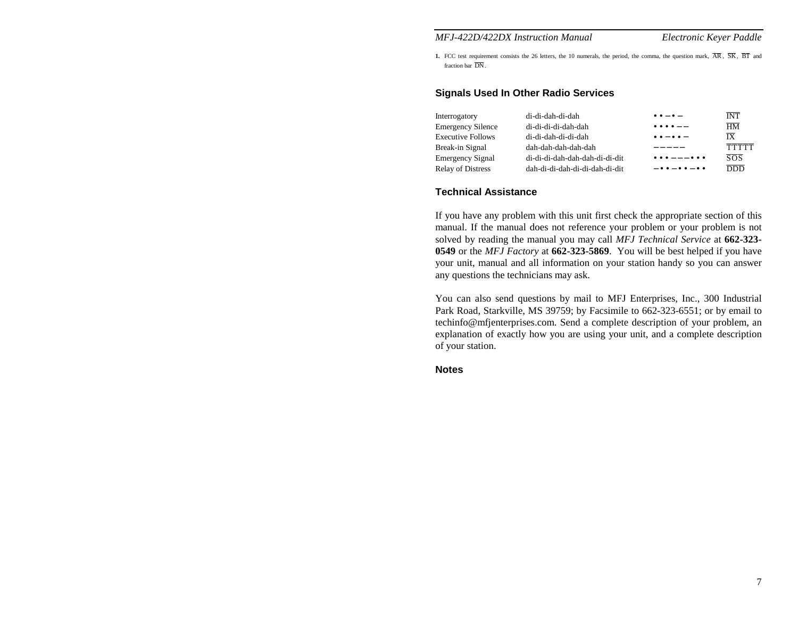**1.** FCC test requirement consists the 26 letters, the 10 numerals, the period, the comma, the question mark,  $\overline{AR}$ ,  $\overline{SK}$ ,  $\overline{BT}$  and fraction bar DN.

## **Signals Used In Other Radio Services**

| Interrogatory            | di-di-dah-di-dah               | $\bullet \bullet - \bullet -$                   | <b>INT</b>                               |
|--------------------------|--------------------------------|-------------------------------------------------|------------------------------------------|
| <b>Emergency Silence</b> | di-di-di-di-dah-dah            | $\bullet\bullet\bullet\bullet--$                | $\overline{HM}$                          |
| <b>Executive Follows</b> | di-di-dah-di-di-dah            | $\bullet \bullet - \bullet \bullet -$           | $\overline{IX}$                          |
| Break-in Signal          | dah-dah-dah-dah-dah            | $- - - - -$                                     | <b>TTTTT</b>                             |
| <b>Emergency Signal</b>  | di-di-di-dah-dah-dah-di-di-dit | $\bullet\bullet\bullet---\bullet\bullet\bullet$ | $\overline{s} \overline{o} \overline{s}$ |
| <b>Relay of Distress</b> | dah-di-di-dah-di-di-dah-di-dit | $-00 - 00 - 00$                                 | <b>DDD</b>                               |

#### **Technical Assistance**

If you have any problem with this unit first check the appropriate section of this manual. If the manual does not reference your problem or your problem is not solved by reading the manual you may call *MFJ Technical Service* at **662-323- 0549** or the *MFJ Factory* at **662-323-5869**. You will be best helped if you have your unit, manual and all information on your station handy so you can answer any questions the technicians may ask.

You can also send questions by mail to MFJ Enterprises, Inc., 300 Industrial Park Road, Starkville, MS 39759; by Facsimile to 662-323-6551; or by email to techinfo@mfjenterprises.com. Send a complete description of your problem, an explanation of exactly how you are using your unit, and a complete description of your station.

#### **Notes**